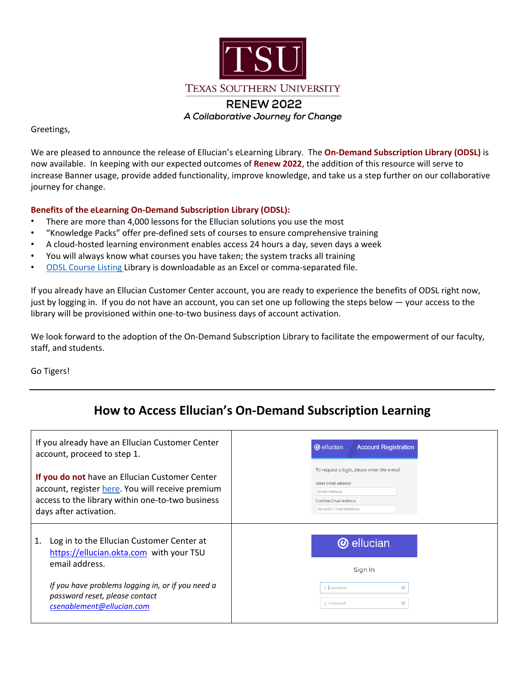

## Greetings,

We are pleased to announce the release of Ellucian's eLearning Library. The **On‐Demand Subscription Library (ODSL)** is now available. In keeping with our expected outcomes of **Renew 2022**, the addition of this resource will serve to increase Banner usage, provide added functionality, improve knowledge, and take us a step further on our collaborative journey for change.

## **Benefits of the eLearning On‐Demand Subscription Library (ODSL):**

- There are more than 4,000 lessons for the Ellucian solutions you use the most
- "Knowledge Packs" offer pre‐defined sets of courses to ensure comprehensive training
- A cloud‐hosted learning environment enables access 24 hours a day, seven days a week
- You will always know what courses you have taken; the system tracks all training
- ODSL [Course](https://training.ellucian.com/odt_course_listing) Listing Library is downloadable as an Excel or comma‐separated file.

If you already have an Ellucian Customer Center account, you are ready to experience the benefits of ODSL right now, just by logging in. If you do not have an account, you can set one up following the steps below — your access to the library will be provisioned within one‐to‐two business days of account activation.

We look forward to the adoption of the On-Demand Subscription Library to facilitate the empowerment of our faculty, staff, and students.

Go Tigers!

## **How to Access Ellucian's On‐Demand Subscription Learning**

| If you already have an Ellucian Customer Center<br>account, proceed to step 1.                                                                                                   | <b>@</b> ellucian.<br><b>Account Registration</b>                                                                                                            |
|----------------------------------------------------------------------------------------------------------------------------------------------------------------------------------|--------------------------------------------------------------------------------------------------------------------------------------------------------------|
| If you do not have an Ellucian Customer Center<br>account, register here. You will receive premium<br>access to the library within one-to-two business<br>days after activation. | To request a login, please enter the e-mail<br><b>Enter Email Address</b><br><b>Email Address</b><br>Confirm Email Address<br><b>Re-enter Email Addresss</b> |
| Log in to the Ellucian Customer Center at<br>1.<br>https://ellucian.okta.com with your TSU<br>email address.                                                                     | <b>@</b> ellucian<br>Sign In                                                                                                                                 |
| If you have problems logging in, or if you need a<br>password reset, please contact<br>csenablement@ellucian.com                                                                 | Username<br>◉<br>0<br><b>Password</b>                                                                                                                        |